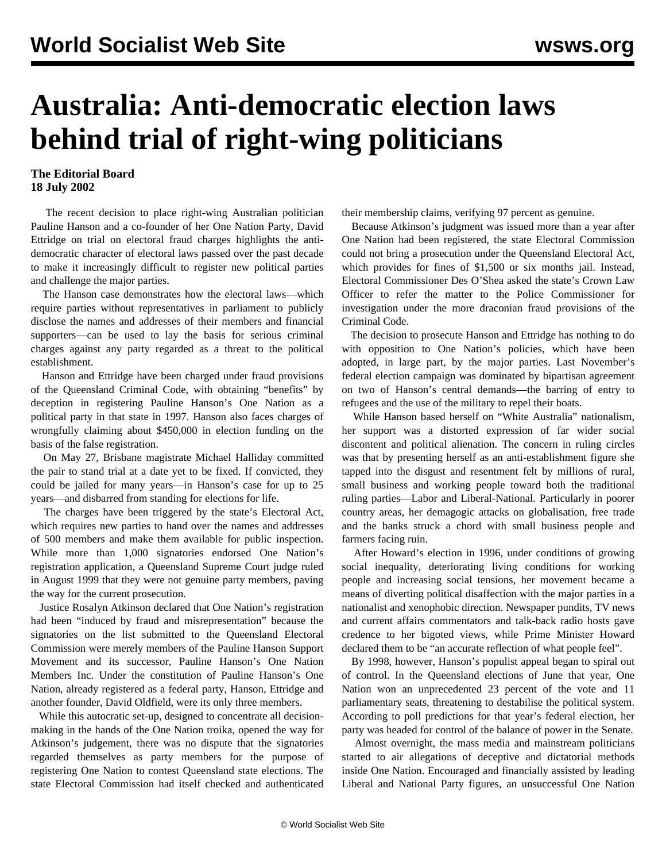## **Australia: Anti-democratic election laws behind trial of right-wing politicians**

## **The Editorial Board 18 July 2002**

 The recent decision to place right-wing Australian politician Pauline Hanson and a co-founder of her One Nation Party, David Ettridge on trial on electoral fraud charges highlights the antidemocratic character of electoral laws passed over the past decade to make it increasingly difficult to register new political parties and challenge the major parties.

 The Hanson case demonstrates how the electoral laws—which require parties without representatives in parliament to publicly disclose the names and addresses of their members and financial supporters—can be used to lay the basis for serious criminal charges against any party regarded as a threat to the political establishment.

 Hanson and Ettridge have been charged under fraud provisions of the Queensland Criminal Code, with obtaining "benefits" by deception in registering Pauline Hanson's One Nation as a political party in that state in 1997. Hanson also faces charges of wrongfully claiming about \$450,000 in election funding on the basis of the false registration.

 On May 27, Brisbane magistrate Michael Halliday committed the pair to stand trial at a date yet to be fixed. If convicted, they could be jailed for many years—in Hanson's case for up to 25 years—and disbarred from standing for elections for life.

 The charges have been triggered by the state's Electoral Act, which requires new parties to hand over the names and addresses of 500 members and make them available for public inspection. While more than 1,000 signatories endorsed One Nation's registration application, a Queensland Supreme Court judge ruled in August 1999 that they were not genuine party members, paving the way for the current prosecution.

 Justice Rosalyn Atkinson declared that One Nation's registration had been "induced by fraud and misrepresentation" because the signatories on the list submitted to the Queensland Electoral Commission were merely members of the Pauline Hanson Support Movement and its successor, Pauline Hanson's One Nation Members Inc. Under the constitution of Pauline Hanson's One Nation, already registered as a federal party, Hanson, Ettridge and another founder, David Oldfield, were its only three members.

 While this autocratic set-up, designed to concentrate all decisionmaking in the hands of the One Nation troika, opened the way for Atkinson's judgement, there was no dispute that the signatories regarded themselves as party members for the purpose of registering One Nation to contest Queensland state elections. The state Electoral Commission had itself checked and authenticated their membership claims, verifying 97 percent as genuine.

 Because Atkinson's judgment was issued more than a year after One Nation had been registered, the state Electoral Commission could not bring a prosecution under the Queensland Electoral Act, which provides for fines of \$1,500 or six months jail. Instead, Electoral Commissioner Des O'Shea asked the state's Crown Law Officer to refer the matter to the Police Commissioner for investigation under the more draconian fraud provisions of the Criminal Code.

 The decision to prosecute Hanson and Ettridge has nothing to do with opposition to One Nation's policies, which have been adopted, in large part, by the major parties. Last November's federal election campaign was dominated by bipartisan agreement on two of Hanson's central demands—the barring of entry to refugees and the use of the military to repel their boats.

 While Hanson based herself on "White Australia" nationalism, her support was a distorted expression of far wider social discontent and political alienation. The concern in ruling circles was that by presenting herself as an anti-establishment figure she tapped into the disgust and resentment felt by millions of rural, small business and working people toward both the traditional ruling parties—Labor and Liberal-National. Particularly in poorer country areas, her demagogic attacks on globalisation, free trade and the banks struck a chord with small business people and farmers facing ruin.

 After Howard's election in 1996, under conditions of growing social inequality, deteriorating living conditions for working people and increasing social tensions, her movement became a means of diverting political disaffection with the major parties in a nationalist and xenophobic direction. Newspaper pundits, TV news and current affairs commentators and talk-back radio hosts gave credence to her bigoted views, while Prime Minister Howard declared them to be "an accurate reflection of what people feel".

 By 1998, however, Hanson's populist appeal began to spiral out of control. In the Queensland elections of June that year, One Nation won an unprecedented 23 percent of the vote and 11 parliamentary seats, threatening to destabilise the political system. According to poll predictions for that year's federal election, her party was headed for control of the balance of power in the Senate.

 Almost overnight, the mass media and mainstream politicians started to air allegations of deceptive and dictatorial methods inside One Nation. Encouraged and financially assisted by leading Liberal and National Party figures, an unsuccessful One Nation